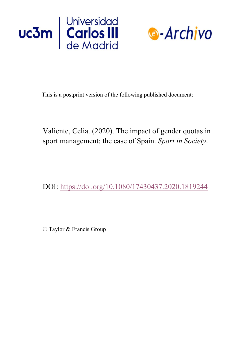



This is a postprint version of the following published document:

Valiente, Celia. (2020). The impact of gender quotas in sport management: the case of Spain. *Sport in Society*.

DOI:<https://doi.org/10.1080/17430437.2020.1819244>

© Taylor & Francis Group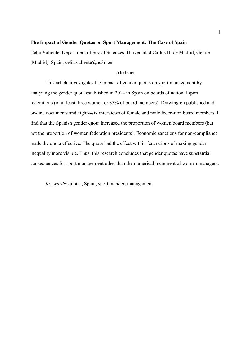## The Impact of Gender Quotas on Sport Management: The Case of Spain

Celia Valiente, Department of Social Sciences, Universidad Carlos III de Madrid, Getafe (Madrid), Spain, celia.valiente@uc3m.es

# Abstract

This article investigates the impact of gender quotas on sport management by analyzing the gender quota established in 2014 in Spain on boards of national sport federations (of at least three women or 33% of board members). Drawing on published and on-line documents and eighty-six interviews of female and male federation board members, I find that the Spanish gender quota increased the proportion of women board members (but not the proportion of women federation presidents). Economic sanctions for non-compliance made the quota effective. The quota had the effect within federations of making gender inequality more visible. Thus, this research concludes that gender quotas have substantial consequences for sport management other than the numerical increment of women managers.

Keywords: quotas, Spain, sport, gender, management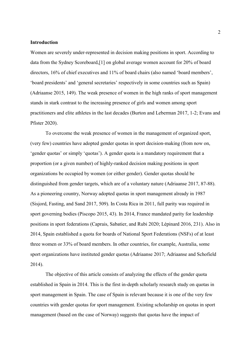#### Introduction

Women are severely under-represented in decision making positions in sport. According to data from the Sydney Scoreboard,[1] on global average women account for 20% of board directors, 16% of chief executives and 11% of board chairs (also named 'board members', 'board presidents' and 'general secretaries' respectively in some countries such as Spain) (Adriaanse 2015, 149). The weak presence of women in the high ranks of sport management stands in stark contrast to the increasing presence of girls and women among sport practitioners and elite athletes in the last decades (Burton and Leberman 2017, 1-2; Evans and Pfister 2020).

To overcome the weak presence of women in the management of organized sport, (very few) countries have adopted gender quotas in sport decision-making (from now on, 'gender quotas' or simply 'quotas'). A gender quota is a mandatory requirement that a proportion (or a given number) of highly-ranked decision making positions in sport organizations be occupied by women (or either gender). Gender quotas should be distinguished from gender targets, which are of a voluntary nature (Adriaanse 2017, 87-88). As a pioneering country, Norway adopted quotas in sport management already in 1987 (Sisjord, Fasting, and Sand 2017, 509). In Costa Rica in 2011, full parity was required in sport governing bodies (Piscopo 2015, 43). In 2014, France mandated parity for leadership positions in sport federations (Caprais, Sabatier, and Rubi 2020; Lépinard 2016, 231). Also in 2014, Spain established a quota for boards of National Sport Federations (NSFs) of at least three women or 33% of board members. In other countries, for example, Australia, some sport organizations have instituted gender quotas (Adriaanse 2017; Adriaanse and Schofield 2014).

The objective of this article consists of analyzing the effects of the gender quota established in Spain in 2014. This is the first in-depth scholarly research study on quotas in sport management in Spain. The case of Spain is relevant because it is one of the very few countries with gender quotas for sport management. Existing scholarship on quotas in sport management (based on the case of Norway) suggests that quotas have the impact of

2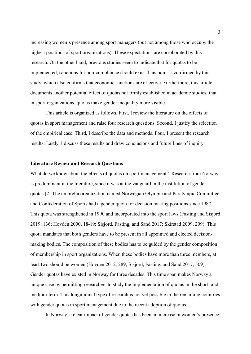increasing women's presence among sport managers (but not among those who occupy the highest positions of sport organizations). These expectations are corroborated by this research. On the other hand, previous studies seem to indicate that for quotas to be implemented, sanctions for non-compliance should exist. This point is confirmed by this study, which also confirms that economic sanctions are effective. Furthermore, this article documents another potential effect of quotas not firmly established in academic studies: that in sport organizations, quotas make gender inequality more visible.

This article is organized as follows. First, I review the literature on the effects of quotas in sport management and raise four research questions. Second, I justify the selection of the empirical case. Third, I describe the data and methods. Four, I present the research results. Lastly, I discuss these results and draw conclusions and future lines of inquiry.

# Literature Review and Research Questions

What do we know about the effects of quotas on sport management? Research from Norway is predominant in the literature, since it was at the vanguard in the institution of gender quotas.[2] The umbrella organization named Norwegian Olympic and Paralympic Committee and Confederation of Sports had a gender quota for decision making positions since 1987. This quota was strengthened in 1990 and incorporated into the sport laws (Fasting and Sisjord 2019, 136; Hovden 2000, 18-19; Sisjord, Fasting, and Sand 2017; Skirstad 2009, 209). This quota mandates that both genders have to be present in all appointed and elected decisionmaking bodies. The composition of these bodies has to be guided by the gender composition of membership in sport organizations. When these bodies have more than three members, at least two should be women (Hovden 2012, 289; Sisjord, Fasting, and Sand 2017, 509). Gender quotas have existed in Norway for three decades. This time span makes Norway a unique case by permitting researchers to study the implementation of quotas in the short- and medium-term. This longitudinal type of research is not yet possible in the remaining countries with gender quotas in sport management due to the recent adoption of quotas.

In Norway, a clear impact of gender quotas has been an increase in women's presence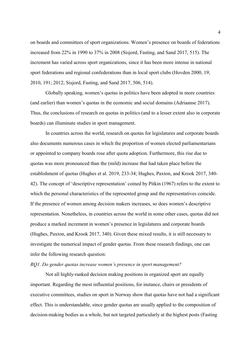on boards and committees of sport organizations. Women's presence on boards of federations increased from 22% in 1990 to 37% in 2008 (Sisjord, Fasting, and Sand 2017, 515). The increment has varied across sport organizations, since it has been more intense in national sport federations and regional confederations than in local sport clubs (Hovden 2000, 19; 2010, 191; 2012; Sisjord, Fasting, and Sand 2017, 506, 514).

Globally speaking, women's quotas in politics have been adopted in more countries (and earlier) than women's quotas in the economic and social domains (Adriaanse 2017). Thus, the conclusions of research on quotas in politics (and to a lesser extent also in corporate boards) can illuminate studies in sport management.

In countries across the world, research on quotas for legislatures and corporate boards also documents numerous cases in which the proportion of women elected parliamentarians or appointed to company boards rose after quota adoption. Furthermore, this rise due to quotas was more pronounced than the (mild) increase that had taken place before the establishment of quotas (Hughes et al. 2019, 233-34; Hughes, Paxton, and Krook 2017, 340- 42). The concept of 'descriptive representation' coined by Pitkin (1967) refers to the extent to which the personal characteristics of the represented group and the representatives coincide. If the presence of women among decision makers increases, so does women's descriptive representation. Nonetheless, in countries across the world in some other cases, quotas did not produce a marked increment in women's presence in legislatures and corporate boards (Hughes, Paxton, and Krook 2017, 340). Given these mixed results, it is still necessary to investigate the numerical impact of gender quotas. From these research findings, one can infer the following research question:

## RQ1. Do gender quotas increase women's presence in sport management?

Not all highly-ranked decision making positions in organized sport are equally important. Regarding the most influential positions, for instance, chairs or presidents of executive committees, studies on sport in Norway show that quotas have not had a significant effect. This is understandable, since gender quotas are usually applied to the composition of decision-making bodies as a whole, but not targeted particularly at the highest posts (Fasting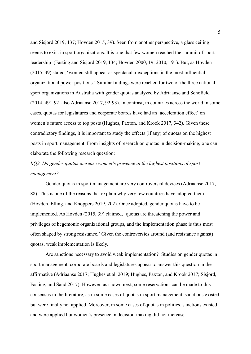and Sisjord 2019, 137; Hovden 2015, 39). Seen from another perspective, a glass ceiling seems to exist in sport organizations. It is true that few women reached the summit of sport leadership (Fasting and Sisjord 2019, 134; Hovden 2000, 19; 2010, 191). But, as Hovden (2015, 39) stated, 'women still appear as spectacular exceptions in the most influential organizational power positions.' Similar findings were reached for two of the three national sport organizations in Australia with gender quotas analyzed by Adriaanse and Schofield (2014, 491-92–also Adriaanse 2017, 92-93). In contrast, in countries across the world in some cases, quotas for legislatures and corporate boards have had an 'acceleration effect' on women's future access to top posts (Hughes, Paxton, and Krook 2017, 342). Given these contradictory findings, it is important to study the effects (if any) of quotas on the highest posts in sport management. From insights of research on quotas in decision-making, one can elaborate the following research question:

# RQ2. Do gender quotas increase women's presence in the highest positions of sport management?

Gender quotas in sport management are very controversial devices (Adriaanse 2017, 88). This is one of the reasons that explain why very few countries have adopted them (Hovden, Elling, and Knoppers 2019, 202). Once adopted, gender quotas have to be implemented. As Hovden (2015, 39) claimed, 'quotas are threatening the power and privileges of hegemonic organizational groups, and the implementation phase is thus most often shaped by strong resistance.' Given the controversies around (and resistance against) quotas, weak implementation is likely.

Are sanctions necessary to avoid weak implementation? Studies on gender quotas in sport management, corporate boards and legislatures appear to answer this question in the affirmative (Adriaanse 2017; Hughes et al. 2019; Hughes, Paxton, and Krook 2017; Sisjord, Fasting, and Sand 2017). However, as shown next, some reservations can be made to this consensus in the literature, as in some cases of quotas in sport management, sanctions existed but were finally not applied. Moreover, in some cases of quotas in politics, sanctions existed and were applied but women's presence in decision-making did not increase.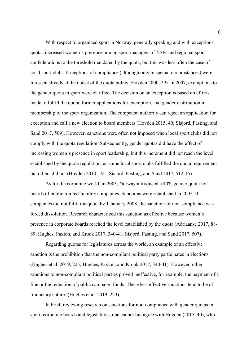With respect to organized sport in Norway, generally speaking and with exceptions, quotas increased women's presence among sport managers of NSFs and regional sport confederations to the threshold mandated by the quota, but this was less often the case of local sport clubs. Exceptions of compliance (although only in special circumstances) were foreseen already at the outset of the quota policy (Hovden 2000, 29). In 2007, exemptions to the gender quota in sport were clarified. The decision on an exception is based on efforts made to fulfill the quota, former applications for exemption, and gender distribution in membership of the sport organization. The competent authority can reject an application for exception and call a new election to board members (Hovden 2015, 40; Sisjord, Fasting, and Sand 2017, 509). However, sanctions were often not imposed when local sport clubs did not comply with the quota regulation. Subsequently, gender quotas did have the effect of increasing women's presence in sport leadership, but this increment did not reach the level established by the quota regulation, as some local sport clubs fulfilled the quota requirement but others did not (Hovden 2010, 191; Sisjord, Fasting, and Sand 2017, 512-15).

As for the corporate world, in 2003, Norway introduced a 40% gender quota for boards of public limited-liability companies. Sanctions were established in 2005. If companies did not fulfil the quota by 1 January 2008, the sanction for non-compliance was forced dissolution. Research characterized this sanction as effective because women's presence in corporate boards reached the level established by the quota (Adriaanse 2017, 88- 89; Hughes, Paxton, and Krook 2017, 340-41; Sisjord, Fasting, and Sand 2017, 507).

Regarding quotas for legislatures across the world, an example of an effective sanction is the prohibition that the non-compliant political party participates in elections (Hughes et al. 2019, 223; Hughes, Paxton, and Krook 2017, 340-41). However, other sanctions to non-compliant political parties proved ineffective, for example, the payment of a fine or the reduction of public campaign funds. These less effective sanctions tend to be of 'monetary nature' (Hughes et al. 2019, 223).

In brief, reviewing research on sanctions for non-compliance with gender quotas in sport, corporate boards and legislatures, one cannot but agree with Hovden (2015, 40), who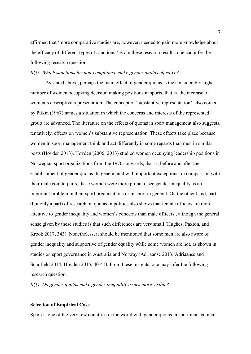affirmed that 'more comparative studies are, however, needed to gain more knowledge about the efficacy of different types of sanctions.' From these research results, one can infer the following research question:

#### RQ3. Which sanctions for non-compliance make gender quotas effective?

As stated above, perhaps the main effect of gender quotas is the considerably higher number of women occupying decision making positions in sports, that is, the increase of women's descriptive representation. The concept of 'substantive representation', also coined by Pitkin (1967) names a situation in which the concerns and interests of the represented group are advanced. The literature on the effects of quotas in sport management also suggests, tentatively, effects on women's substantive representation. These effects take place because women in sport management think and act differently in some regards than men in similar posts (Hovden 2013). Hovden (2006; 2013) studied women occupying leadership positions in Norwegian sport organizations from the 1970s onwards, that is, before and after the establishment of gender quotas. In general and with important exceptions, in comparison with their male counterparts, these women were more prone to see gender inequality as an important problem in their sport organizations or in sport in general. On the other hand, part (but only a part) of research on quotas in politics also shows that female officers are more attentive to gender inequality and women's concerns than male officers , although the general sense given by these studies is that such differences are very small (Hughes, Paxton, and Krook 2017, 343). Nonetheless, it should be mentioned that some men are also aware of gender inequality and supportive of gender equality while some women are not, as shown in studies on sport governance in Australia and Norway (Adriaanse 2013; Adriaanse and Schofield 2014; Hovden 2015, 40-41). From these insights, one may infer the following research question:

RQ4. Do gender quotas make gender inequality issues more visible?

#### Selection of Empirical Case

Spain is one of the very few countries in the world with gender quotas in sport management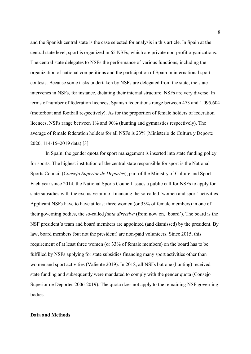and the Spanish central state is the case selected for analysis in this article. In Spain at the central state level, sport is organized in 65 NSFs, which are private non-profit organizations. The central state delegates to NSFs the performance of various functions, including the organization of national competitions and the participation of Spain in international sport contests. Because some tasks undertaken by NSFs are delegated from the state, the state intervenes in NSFs, for instance, dictating their internal structure. NSFs are very diverse. In terms of number of federation licences, Spanish federations range between 473 and 1.095,604 (motorboat and football respectively). As for the proportion of female holders of federation licences, NSFs range between 1% and 90% (hunting and gymnastics respectively). The average of female federation holders for all NSFs is 23% (Ministerio de Cultura y Deporte 2020, 114-15–2019 data).[3]

In Spain, the gender quota for sport management is inserted into state funding policy for sports. The highest institution of the central state responsible for sport is the National Sports Council (Consejo Superior de Deportes), part of the Ministry of Culture and Sport. Each year since 2014, the National Sports Council issues a public call for NSFs to apply for state subsidies with the exclusive aim of financing the so-called 'women and sport' activities. Applicant NSFs have to have at least three women (or 33% of female members) in one of their governing bodies, the so-called junta directiva (from now on, 'board'). The board is the NSF president's team and board members are appointed (and dismissed) by the president. By law, board members (but not the president) are non-paid volunteers. Since 2015, this requirement of at least three women (or 33% of female members) on the board has to be fulfilled by NSFs applying for state subsidies financing many sport activities other than women and sport activities (Valiente 2019). In 2018, all NSFs but one (hunting) received state funding and subsequently were mandated to comply with the gender quota (Consejo Superior de Deportes 2006-2019). The quota does not apply to the remaining NSF governing bodies.

## Data and Methods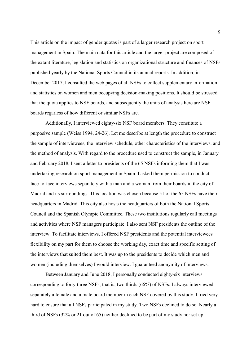This article on the impact of gender quotas is part of a larger research project on sport management in Spain. The main data for this article and the larger project are composed of the extant literature, legislation and statistics on organizational structure and finances of NSFs published yearly by the National Sports Council in its annual reports. In addition, in December 2017, I consulted the web pages of all NSFs to collect supplementary information and statistics on women and men occupying decision-making positions. It should be stressed that the quota applies to NSF boards, and subsequently the units of analysis here are NSF boards regarless of how different or similar NSFs are.

Additionally, I interviewed eighty-six NSF board members. They constitute a purposive sample (Weiss 1994, 24-26). Let me describe at length the procedure to construct the sample of interviewees, the interview schedule, other characteristics of the interviews, and the method of analysis. With regard to the procedure used to construct the sample, in January and February 2018, I sent a letter to presidents of the 65 NSFs informing them that I was undertaking research on sport management in Spain. I asked them permission to conduct face-to-face interviews separately with a man and a woman from their boards in the city of Madrid and its surroundings. This location was chosen because 51 of the 65 NSFs have their headquarters in Madrid. This city also hosts the headquarters of both the National Sports Council and the Spanish Olympic Committee. These two institutions regularly call meetings and activities where NSF managers participate. I also sent NSF presidents the outline of the interview. To facilitate interviews, I offered NSF presidents and the potential interviewees flexibility on my part for them to choose the working day, exact time and specific setting of the interviews that suited them best. It was up to the presidents to decide which men and women (including themselves) I would interview. I guaranteed anonymity of interviews.

Between January and June 2018, I personally conducted eighty-six interviews corresponding to forty-three NSFs, that is, two thirds (66%) of NSFs. I always interviewed separately a female and a male board member in each NSF covered by this study. I tried very hard to ensure that all NSFs participated in my study. Two NSFs declined to do so. Nearly a third of NSFs (32% or 21 out of 65) neither declined to be part of my study nor set up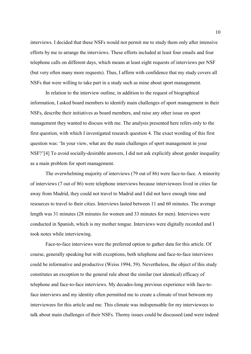interviews. I decided that these NSFs would not permit me to study them only after intensive efforts by me to arrange the interviews. These efforts included at least four emails and four telephone calls on different days, which means at least eight requests of interviews per NSF (but very often many more requests). Thus, I affirm with confidence that my study covers all NSFs that were willing to take part in a study such as mine about sport management.

In relation to the interview outline, in addition to the request of biographical information, I asked board members to identify main challenges of sport management in their NSFs, describe their initiatives as board members, and raise any other issue on sport management they wanted to discuss with me. The analysis presented here refers only to the first question, with which I investigated research question 4. The exact wording of this first question was: 'In your view, what are the main challenges of sport management in your NSF?'[4] To avoid socially-desirable answers, I did not ask explicitly about gender inequality as a main problem for sport management.

The overwhelming majority of interviews (79 out of 86) were face-to-face. A minority of interviews (7 out of 86) were telephone interviews because interviewees lived in cities far away from Madrid, they could not travel to Madrid and I did not have enough time and resources to travel to their cities. Interviews lasted between 11 and 60 minutes. The average length was 31 minutes (28 minutes for women and 33 minutes for men). Interviews were conducted in Spanish, which is my mother tongue. Interviews were digitally recorded and I took notes while interviewing.

Face-to-face interviews were the preferred option to gather data for this article. Of course, generally speaking but with exceptions, both telephone and face-to-face interviews could be informative and productive (Weiss 1994, 59). Nevertheless, the object of this study constitutes an exception to the general rule about the similar (not identical) efficacy of telephone and face-to-face interviews. My decades-long previous experience with face-toface interviews and my identity often permitted me to create a climate of trust between my interviewees for this article and me. This climate was indispensable for my interviewees to talk about main challenges of their NSFs. Thorny issues could be discussed (and were indeed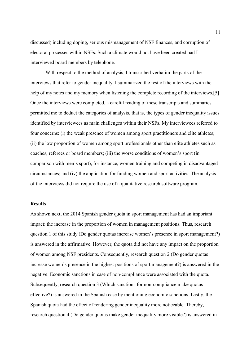discussed) including doping, serious mismanagement of NSF finances, and corruption of electoral processes within NSFs. Such a climate would not have been created had I interviewed board members by telephone.

With respect to the method of analysis, I transcribed verbatim the parts of the interviews that refer to gender inequality. I summarized the rest of the interviews with the help of my notes and my memory when listening the complete recording of the interviews.[5] Once the interviews were completed, a careful reading of these transcripts and summaries permitted me to deduct the categories of analysis, that is, the types of gender inequality issues identified by interviewees as main challenges within their NSFs. My interviewees referred to four concerns: (i) the weak presence of women among sport practitioners and elite athletes; (ii) the low proportion of women among sport professionals other than elite athletes such as coaches, referees or board members; (iii) the worse conditions of women's sport (in comparison with men's sport), for instance, women training and competing in disadvantaged circumstances; and (iv) the application for funding women and sport activities. The analysis of the interviews did not require the use of a qualitative research software program.

#### **Results**

As shown next, the 2014 Spanish gender quota in sport management has had an important impact: the increase in the proportion of women in management positions. Thus, research question 1 of this study (Do gender quotas increase women's presence in sport management?) is answered in the affirmative. However, the quota did not have any impact on the proportion of women among NSF presidents. Consequently, research question 2 (Do gender quotas increase women's presence in the highest positions of sport management?) is answered in the negative. Economic sanctions in case of non-compliance were associated with the quota. Subsequently, research question 3 (Which sanctions for non-compliance make quotas effective?) is answered in the Spanish case by mentioning economic sanctions. Lastly, the Spanish quota had the effect of rendering gender inequality more noticeable. Thereby, research question 4 (Do gender quotas make gender inequality more visible?) is answered in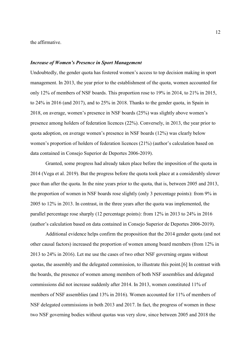the affirmative.

#### Increase of Women's Presence in Sport Management

Undoubtedly, the gender quota has fostered women's access to top decision making in sport management. In 2013, the year prior to the establishment of the quota, women accounted for only 12% of members of NSF boards. This proportion rose to 19% in 2014, to 21% in 2015, to 24% in 2016 (and 2017), and to 25% in 2018. Thanks to the gender quota, in Spain in 2018, on average, women's presence in NSF boards (25%) was slightly above women's presence among holders of federation licences (22%). Conversely, in 2013, the year prior to quota adoption, on average women's presence in NSF boards (12%) was clearly below women's proportion of holders of federation licences (21%) (author's calculation based on data contained in Consejo Superior de Deportes 2006-2019).

Granted, some progress had already taken place before the imposition of the quota in 2014 (Vega et al. 2019). But the progress before the quota took place at a considerably slower pace than after the quota. In the nine years prior to the quota, that is, between 2005 and 2013, the proportion of women in NSF boards rose slightly (only 3 percentage points): from 9% in 2005 to 12% in 2013. In contrast, in the three years after the quota was implemented, the parallel percentage rose sharply (12 percentage points): from 12% in 2013 to 24% in 2016 (author's calculation based on data contained in Consejo Superior de Deportes 2006-2019).

Additional evidence helps confirm the proposition that the 2014 gender quota (and not other causal factors) increased the proportion of women among board members (from 12% in 2013 to 24% in 2016). Let me use the cases of two other NSF governing organs without quotas, the assembly and the delegated commission, to illustrate this point.[6] In contrast with the boards, the presence of women among members of both NSF assemblies and delegated commissions did not increase suddenly after 2014. In 2013, women constituted 11% of members of NSF assemblies (and 13% in 2016). Women accounted for 11% of members of NSF delegated commissions in both 2013 and 2017. In fact, the progress of women in these two NSF governing bodies without quotas was very slow, since between 2005 and 2018 the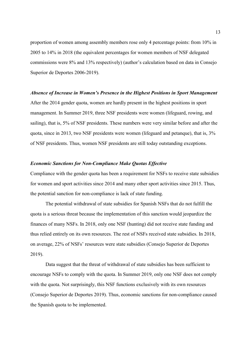proportion of women among assembly members rose only 4 percentage points: from 10% in 2005 to 14% in 2018 (the equivalent percentages for women members of NSF delegated commissions were 8% and 13% respectively) (author's calculation based on data in Consejo Superior de Deportes 2006-2019).

#### Absence of Increase in Women's Presence in the Highest Positions in Sport Management

After the 2014 gender quota, women are hardly present in the highest positions in sport management. In Summer 2019, three NSF presidents were women (lifeguard, rowing, and sailing), that is, 5% of NSF presidents. These numbers were very similar before and after the quota, since in 2013, two NSF presidents were women (lifeguard and petanque), that is, 3% of NSF presidents. Thus, women NSF presidents are still today outstanding exceptions.

# Economic Sanctions for Non-Compliance Make Quotas Effective

Compliance with the gender quota has been a requirement for NSFs to receive state subsidies for women and sport activities since 2014 and many other sport activities since 2015. Thus, the potential sanction for non-compliance is lack of state funding.

The potential withdrawal of state subsidies for Spanish NSFs that do not fulfill the quota is a serious threat because the implementation of this sanction would jeopardize the finances of many NSFs. In 2018, only one NSF (hunting) did not receive state funding and thus relied entirely on its own resources. The rest of NSFs received state subsidies. In 2018, on average, 22% of NSFs' resources were state subsidies (Consejo Superior de Deportes 2019).

Data suggest that the threat of withdrawal of state subsidies has been sufficient to encourage NSFs to comply with the quota. In Summer 2019, only one NSF does not comply with the quota. Not surprisingly, this NSF functions exclusively with its own resources (Consejo Superior de Deportes 2019). Thus, economic sanctions for non-compliance caused the Spanish quota to be implemented.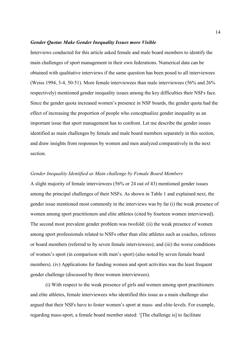#### Gender Quotas Make Gender Inequality Issues more Visible

Interviews conducted for this article asked female and male board members to identify the main challenges of sport management in their own federations. Numerical data can be obtained with qualitative interviews if the same question has been posed to all interviewees (Weiss 1994, 3-4, 50-51). More female interviewees than male interviewees (56% and 26% respectively) mentioned gender inequality issues among the key difficulties their NSFs face. Since the gender quota increased women's presence in NSF boards, the gender quota had the effect of increasing the proportion of people who conceptualize gender inequality as an important issue that sport management has to confront. Let me describe the gender issues identified as main challenges by female and male board members separately in this section, and draw insights from responses by women and men analyzed comparatively in the next section.

### Gender Inequality Identified as Main challenge by Female Board Members

A slight majority of female interviewees (56% or 24 out of 43) mentioned gender issues among the principal challenges of their NSFs. As shown in Table 1 and explained next, the gender issue mentioned most commonly in the interviews was by far (i) the weak presence of women among sport practitioners and elite athletes (cited by fourteen women interviewed). The second most prevalent gender problem was twofold: (ii) the weak presence of women among sport professionals related to NSFs other than elite athletes such as coaches, referees or board members (referred to by seven female interviewees); and (iii) the worse conditions of women's sport (in comparison with men's sport) (also noted by seven female board members). (iv) Applications for funding women and sport activities was the least frequent gender challenge (discussed by three women interviewees).

(i) With respect to the weak presence of girls and women among sport practitioners and elite athletes, female interviewees who identified this issue as a main challenge also argued that their NSFs have to foster women's sport at mass- and elite-levels. For example, regarding mass-sport, a female board member stated: '[The challenge is] to facilitate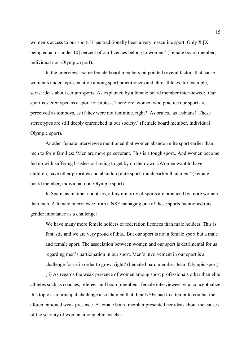women's access to our sport. It has traditionally been a very masculine sport. Only X [X being equal or under 10] percent of our licences belong to women.' (Female board member, individual non-Olympic sport).

In the interviews, some female board members pinpointed several factors that cause women's under-representation among sport practitioners and elite athletes, for example, sexist ideas about certain sports. As explained by a female board member interviewed: 'Our sport is stereotyped as a sport for brutes...Therefore, women who practice our sport are perceived as tomboys, as if they were not feminine, right? As brutes...as lesbians! These stereotypes are still deeply entrenched in our society.' (Female board member, individual Olympic sport).

Another female interviewee mentioned that women abandon elite sport earlier than men to form families: 'Men are more perseverant. This is a tough sport...And women become fed up with suffering brushes or having to get by on their own...Women want to have children, have other priorities and abandon [elite sport] much earlier than men.' (Female board member, individual non-Olympic sport).

In Spain, as in other countries, a tiny minority of sports are practiced by more women than men. A female interviewee from a NSF managing one of these sports mentioned this gender imbalance as a challenge:

We have many more female holders of federation licences than male holders. This is fantastic and we are very proud of this...But our sport is not a female sport but a male and female sport. The association between women and our sport is detrimental for us regarding men's participation in our sport. Men's involvement in our sport is a challenge for us in order to grow, right? (Female board member, team Olympic sport)

(ii) As regards the weak presence of women among sport professionals other than elite athletes such as coaches, referees and board members, female interviewees who conceptualize this topic as a principal challenge also claimed that their NSFs had to attempt to combat the aforementioned weak presence. A female board member presented her ideas about the causes of the scarcity of women among elite coaches: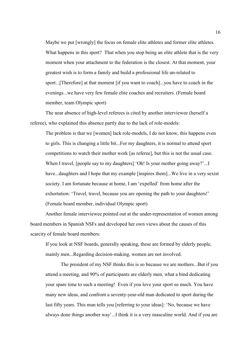Maybe we put [wrongly] the focus on female elite athletes and former elite athletes. What happens in this sport? That when you stop being an elite athlete that is the very moment when your attachment to the federation is the closest. At that moment, your greatest wish is to form a family and build a professional life un-related to sport...[Therefore] at that moment [if you want to coach]...you have to coach in the evenings...we have very few female elite coaches and recruiters. (Female board member, team Olympic sport)

The near absence of high-level referees is cited by another interviewee (herself a referee), who explained this absence partly due to the lack of role-models:

The problem is that we [women] lack role-models, I do not know, this happens even to girls. This is changing a little bit...For my daughters, it is normal to attend sport competitions to watch their mother work [as referee], but this is not the usual case. When I travel, [people say to my daughters] 'Oh! Is your mother going away?'...I have...daughters and I hope that my example [inspires them]...We live in a very sexist society. I am fortunate because at home, I am 'expelled' from home after the exhortation: 'Travel, travel, because you are opening the path to your daughters!' (Female board member, individual Olympic sport)

Another female interviewee pointed out at the under-representation of women among board members in Spanish NSFs and developed her own views about the causes of this scarcity of female board members:

If you look at NSF boards, generally speaking, these are formed by elderly people, mainly men...Regarding decision-making, women are not involved.

The president of my NSF thinks this is so because we are mothers...But if you attend a meeting, and 90% of participants are elderly men, what a bind dedicating your spare time to such a meeting! Even if you love your sport so much. You have many new ideas, and confront a seventy-year-old man dedicated to sport during the last fifty years. This man tells you [referring to your ideas]: 'No, because we have always done things another way'...I think it is a very masculine world. And if you are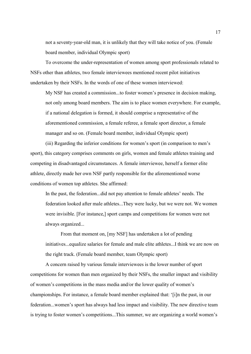not a seventy-year-old man, it is unlikely that they will take notice of you. (Female board member, individual Olympic sport)

To overcome the under-representation of women among sport professionals related to NSFs other than athletes, two female interviewees mentioned recent pilot initiatives undertaken by their NSFs. In the words of one of these women interviewed:

My NSF has created a commission...to foster women's presence in decision making, not only among board members. The aim is to place women everywhere. For example, if a national delegation is formed, it should comprise a representative of the aforementioned commission, a female referee, a female sport director, a female manager and so on. (Female board member, individual Olympic sport)

(iii) Regarding the inferior conditions for women's sport (in comparison to men's sport), this category comprises comments on girls, women and female athletes training and competing in disadvantaged circumstances. A female interviewee, herself a former elite athlete, directly made her own NSF partly responsible for the aforementioned worse conditions of women top athletes. She affirmed:

In the past, the federation...did not pay attention to female athletes' needs. The federation looked after male athletes...They were lucky, but we were not. We women were invisible. [For instance,] sport camps and competitions for women were not always organized...

From that moment on, [my NSF] has undertaken a lot of pending initiatives...equalize salaries for female and male elite athletes...I think we are now on the right track. (Female board member, team Olympic sport)

A concern raised by various female interviewees is the lower number of sport competitions for women than men organized by their NSFs, the smaller impact and visibility of women's competitions in the mass media and/or the lower quality of women's championships. For instance, a female board member explained that: '[i]n the past, in our federation...women's sport has always had less impact and visibility. The new directive team is trying to foster women's competitions...This summer, we are organizing a world women's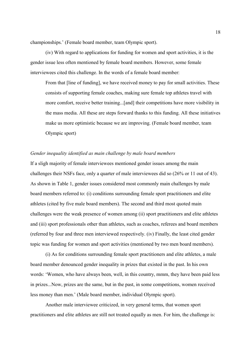championships.' (Female board member, team Olympic sport).

(iv) With regard to applications for funding for women and sport activities, it is the gender issue less often mentioned by female board members. However, some female interviewees cited this challenge. In the words of a female board member:

From that [line of funding], we have received money to pay for small activities. These consists of supporting female coaches, making sure female top athletes travel with more comfort, receive better training...[and] their competitions have more visibility in the mass media. All these are steps forward thanks to this funding. All these initiatives make us more optimistic because we are improving. (Female board member, team Olympic sport)

#### Gender inequality identified as main challenge by male board members

If a sligh majority of female interviewees mentioned gender issues among the main challenges their NSFs face, only a quarter of male interviewees did so (26% or 11 out of 43). As shown in Table 1, gender issues considered most commonly main challenges by male board members referred to: (i) conditions surrounding female sport practitioners and elite athletes (cited by five male board members). The second and third most quoted main challenges were the weak presence of women among (ii) sport practitioners and elite athletes and (iii) sport professionals other than athletes, such as coaches, referees and board members (referred by four and three men interviewed respectively. (iv) Finally, the least cited gender topic was funding for women and sport activities (mentioned by two men board members).

(i) As for conditions surrounding female sport practitioners and elite athletes, a male board member denounced gender inequality in prizes that existed in the past. In his own words: 'Women, who have always been, well, in this country, mmm, they have been paid less in prizes...Now, prizes are the same, but in the past, in some competitions, women received less money than men.' (Male board member, individual Olympic sport).

Another male interviewee criticized, in very general terms, that women sport practitioners and elite athletes are still not treated equally as men. For him, the challenge is: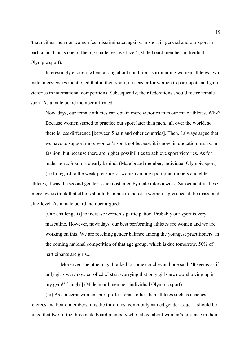'that neither men nor women feel discriminated against in sport in general and our sport in particular. This is one of the big challenges we face.' (Male board member, individual Olympic sport).

Interestingly enough, when talking about conditions surrounding women athletes, two male interviewees mentioned that in their sport, it is easier for women to participate and gain victories in international competitions. Subsequently, their federations should foster female sport. As a male board member affirmed:

Nowadays, our female athletes can obtain more victories than our male athletes. Why? Because women started to practice our sport later than men...all over the world, so there is less difference [between Spain and other countries]. Then, I always argue that we have to support more women's sport not because it is now, in quotation marks, in fashion, but because there are higher possibilities to achieve sport victories. As for male sport...Spain is clearly behind. (Male board member, individual Olympic sport)

(ii) In regard to the weak presence of women among sport practitioners and elite athletes, it was the second gender issue most cited by male interviewees. Subsequently, these interviewees think that efforts should be made to increase women's presence at the mass- and elite-level. As a male board member argued:

[Our challenge is] to increase women's participation. Probably our sport is very masculine. However, nowadays, our best performing athletes are women and we are working on this. We are reaching gender balance among the youngest practitioners. In the coming national competition of that age group, which is due tomorrow, 50% of participants are girls...

Moreover, the other day, I talked to some couches and one said: 'It seems as if only girls were now enrolled...I start worrying that only girls are now showing up in my gym!' [laughs] (Male board member, individual Olympic sport)

(iii) As concerns women sport professionals other than athletes such as coaches, referees and board members, it is the third most commonly named gender issue. It should be noted that two of the three male board members who talked about women's presence in their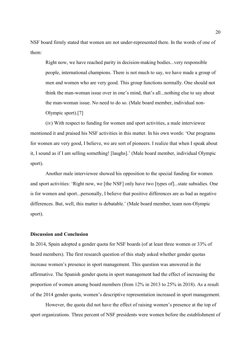NSF board firmly stated that women are not under-represented there. In the words of one of them:

Right now, we have reached parity in decision-making bodies...very responsible people, international champions. There is not much to say, we have made a group of men and women who are very good. This group functions normally. One should not think the man-woman issue over in one's mind, that's all...nothing else to say about the man-woman issue. No need to do so. (Male board member, individual non-Olympic sport).[7]

(iv) With respect to funding for women and sport activities, a male interviewee mentioned it and praised his NSF activities in this matter. In his own words: 'Our programs for women are very good, I believe, we are sort of pioneers. I realize that when I speak about it, I sound as if I am selling something! [laughs].' (Male board member, individual Olympic sport).

Another male interviewee showed his opposition to the special funding for women and sport activities: 'Right now, we [the NSF] only have two [types of]...state subsidies. One is for women and sport...personally, I believe that positive differences are as bad as negative differences. But, well, this matter is debatable.' (Male board member, team non-Olympic sport).

#### Discussion and Conclusion

In 2014, Spain adopted a gender quota for NSF boards (of at least three women or 33% of board members). The first research question of this study asked whether gender quotas increase women's presence in sport management. This question was answered in the affirmative. The Spanish gender quota in sport management had the effect of increasing the proportion of women among board members (from 12% in 2013 to 25% in 2018). As a result of the 2014 gender quota, women's descriptive representation increased in sport management.

However, the quota did not have the effect of raising women's presence at the top of sport organizations. Three percent of NSF presidents were women before the establishment of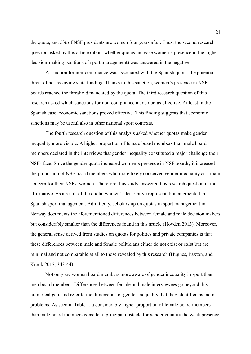the quota, and 5% of NSF presidents are women four years after. Thus, the second research question asked by this article (about whether quotas increase women's presence in the highest decision-making positions of sport management) was answered in the negative.

A sanction for non-compliance was associated with the Spanish quota: the potential threat of not receiving state funding. Thanks to this sanction, women's presence in NSF boards reached the threshold mandated by the quota. The third research question of this research asked which sanctions for non-compliance made quotas effective. At least in the Spanish case, economic sanctions proved effective. This finding suggests that economic sanctions may be useful also in other national sport contexts.

The fourth research question of this analysis asked whether quotas make gender inequality more visible. A higher proportion of female board members than male board members declared in the interviews that gender inequality constituted a major challenge their NSFs face. Since the gender quota increased women's presence in NSF boards, it increased the proportion of NSF board members who more likely conceived gender inequality as a main concern for their NSFs: women. Therefore, this study answered this research question in the affirmative. As a result of the quota, women's descriptive representation augmented in Spanish sport management. Admittedly, scholarship on quotas in sport management in Norway documents the aforementioned differences between female and male decision makers but considerably smaller than the differences found in this article (Hovden 2013). Moreover, the general sense derived from studies on quotas for politics and private companies is that these differences between male and female politicians either do not exist or exist but are minimal and not comparable at all to those revealed by this research (Hughes, Paxton, and Krook 2017, 343-44).

Not only are women board members more aware of gender inequality in sport than men board members. Differences between female and male interviewees go beyond this numerical gap, and refer to the dimensions of gender inequality that they identified as main problems. As seen in Table 1, a considerably higher proportion of female board members than male board members consider a principal obstacle for gender equality the weak presence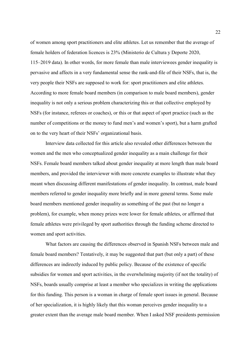of women among sport practitioners and elite athletes. Let us remember that the average of female holders of federation licences is 23% (Ministerio de Cultura y Deporte 2020, 115–2019 data). In other words, for more female than male interviewees gender inequality is pervasive and affects in a very fundamental sense the rank-and-file of their NSFs, that is, the very people their NSFs are supposed to work for: sport practitioners and elite athletes. According to more female board members (in comparison to male board members), gender inequality is not only a serious problem characterizing this or that collective employed by NSFs (for instance, referees or coaches), or this or that aspect of sport practice (such as the number of competitions or the money to fund men's and women's sport), but a harm grafted on to the very heart of their NSFs' organizational basis.

Interview data collected for this article also revealed other differences between the women and the men who conceptualized gender inequality as a main challenge for their NSFs. Female board members talked about gender inequality at more length than male board members, and provided the interviewer with more concrete examples to illustrate what they meant when discussing different manifestations of gender inequality. In contrast, male board members referred to gender inequality more briefly and in more general terms. Some male board members mentioned gender inequality as something of the past (but no longer a problem), for example, when money prizes were lower for female athletes, or affirmed that female athletes were privileged by sport authorities through the funding scheme directed to women and sport activities.

What factors are causing the differences observed in Spanish NSFs between male and female board members? Tentatively, it may be suggested that part (but only a part) of these differences are indirectly induced by public policy. Because of the existence of specific subsidies for women and sport activities, in the overwhelming majority (if not the totality) of NSFs, boards usually comprise at least a member who specializes in writing the applications for this funding. This person is a woman in charge of female sport issues in general. Because of her specialization, it is highly likely that this woman perceives gender inequality to a greater extent than the average male board member. When I asked NSF presidents permission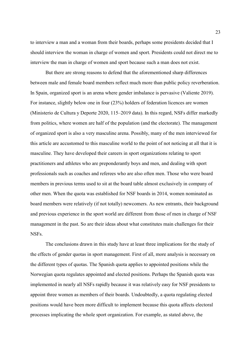to interview a man and a woman from their boards, perhaps some presidents decided that I should interview the woman in charge of women and sport. Presidents could not direct me to interview the man in charge of women and sport because such a man does not exist.

But there are strong reasons to defend that the aforementioned sharp differences between male and female board members reflect much more than public policy reverberation. In Spain, organized sport is an arena where gender imbalance is pervasive (Valiente 2019). For instance, slightly below one in four (23%) holders of federation licences are women (Ministerio de Cultura y Deporte 2020, 115–2019 data). In this regard, NSFs differ markedly from politics, where women are half of the population (and the electorate). The management of organized sport is also a very masculine arena. Possibly, many of the men interviewed for this article are accustomed to this masculine world to the point of not noticing at all that it is masculine. They have developed their careers in sport organizations relating to sport practitioners and athletes who are preponderantly boys and men, and dealing with sport professionals such as coaches and referees who are also often men. Those who were board members in previous terms used to sit at the board table almost exclusively in company of other men. When the quota was established for NSF boards in 2014, women nominated as board members were relatively (if not totally) newcomers. As new entrants, their background and previous experience in the sport world are different from those of men in charge of NSF management in the past. So are their ideas about what constitutes main challenges for their NSFs.

The conclusions drawn in this study have at least three implications for the study of the effects of gender quotas in sport management. First of all, more analysis is necessary on the different types of quotas. The Spanish quota applies to appointed positions while the Norwegian quota regulates appointed and elected positions. Perhaps the Spanish quota was implemented in nearly all NSFs rapidly because it was relatively easy for NSF presidents to appoint three women as members of their boards. Undoubtedly, a quota regulating elected positions would have been more difficult to implement because this quota affects electoral processes implicating the whole sport organization. For example, as stated above, the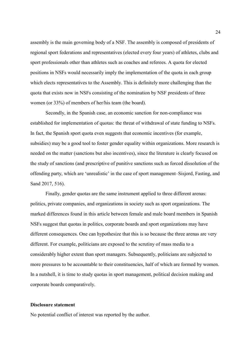assembly is the main governing body of a NSF. The assembly is composed of presidents of regional sport federations and representatives (elected every four years) of athletes, clubs and sport professionals other than athletes such as coaches and referees. A quota for elected positions in NSFs would necessarily imply the implementation of the quota in each group which elects representatives to the Assembly. This is definitely more challenging than the quota that exists now in NSFs consisting of the nomination by NSF presidents of three women (or 33%) of members of her/his team (the board).

Secondly, in the Spanish case, an economic sanction for non-compliance was established for implementation of quotas: the threat of withdrawal of state funding to NSFs. In fact, the Spanish sport quota even suggests that economic incentives (for example, subsidies) may be a good tool to foster gender equality within organizations. More research is needed on the matter (sanctions but also incentives), since the literature is clearly focused on the study of sanctions (and prescriptive of punitive sanctions such as forced dissolution of the offending party, which are 'unrealistic' in the case of sport management–Sisjord, Fasting, and Sand 2017, 516).

Finally, gender quotas are the same instrument applied to three different arenas: politics, private companies, and organizations in society such as sport organizations. The marked differences found in this article between female and male board members in Spanish NSFs suggest that quotas in politics, corporate boards and sport organizations may have different consequences. One can hypothesize that this is so because the three arenas are very different. For example, politicians are exposed to the scrutiny of mass media to a considerably higher extent than sport managers. Subsequently, politicians are subjected to more pressures to be accountable to their constituencies, half of which are formed by women. In a nutshell, it is time to study quotas in sport management, political decision making and corporate boards comparatively.

#### Disclosure statement

No potential conflict of interest was reported by the author.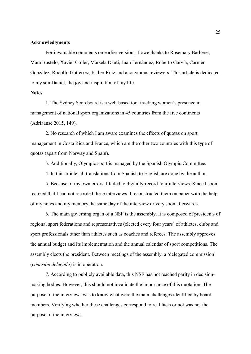#### Acknowledgments

For invaluable comments on earlier versions, I owe thanks to Rosemary Barberet, Mara Bustelo, Xavier Coller, Marsela Dauti, Juan Fernández, Roberto Garvía, Carmen González, Rodolfo Gutiérrez, Esther Ruiz and anonymous reviewers. This article is dedicated to my son Daniel, the joy and inspiration of my life.

#### **Notes**

1. The Sydney Scoreboard is a web-based tool tracking women's presence in management of national sport organizations in 45 countries from the five continents (Adriaanse 2015, 149).

2. No research of which I am aware examines the effects of quotas on sport management in Costa Rica and France, which are the other two countries with this type of quotas (apart from Norway and Spain).

3. Additionally, Olympic sport is managed by the Spanish Olympic Committee.

4. In this article, all translations from Spanish to English are done by the author.

5. Because of my own errors, I failed to digitally-record four interviews. Since I soon realized that I had not recorded these interviews, I reconstructed them on paper with the help of my notes and my memory the same day of the interview or very soon afterwards.

6. The main governing organ of a NSF is the assembly. It is composed of presidents of regional sport federations and representatives (elected every four years) of athletes, clubs and sport professionals other than athletes such as coaches and referees. The assembly approves the annual budget and its implementation and the annual calendar of sport competitions. The assembly elects the president. Between meetings of the assembly, a 'delegated commission' (comisión delegada) is in operation.

7. According to publicly available data, this NSF has not reached parity in decisionmaking bodies. However, this should not invalidate the importance of this quotation. The purpose of the interviews was to know what were the main challenges identified by board members. Verifying whether these challenges correspond to real facts or not was not the purpose of the interviews.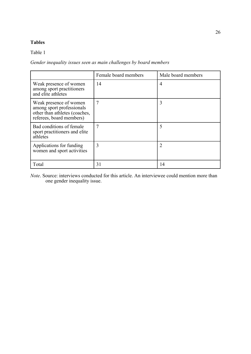# Tables

# Table 1

# Gender inequality issues seen as main challenges by board members

|                                                                                                                  | Female board members | Male board members |
|------------------------------------------------------------------------------------------------------------------|----------------------|--------------------|
| Weak presence of women<br>among sport practitioners<br>and elite athletes                                        | 14                   | 4                  |
| Weak presence of women<br>among sport professionals<br>other than athletes (coaches,<br>referees, board members) | 7                    | 3                  |
| Bad conditions of female<br>sport practitioners and elite<br>athletes                                            | 7                    |                    |
| Applications for funding<br>women and sport activities                                                           | 3                    | 2                  |
| Total                                                                                                            | 31                   | 14                 |

Note. Source: interviews conducted for this article. An interviewee could mention more than one gender inequality issue.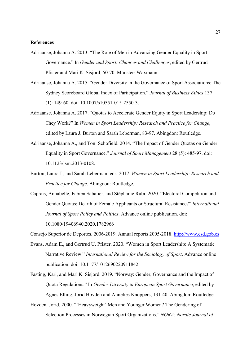#### References

- Adriaanse, Johanna A. 2013. "The Role of Men in Advancing Gender Equality in Sport Governance." In Gender and Sport: Changes and Challenges, edited by Gertrud Pfister and Mari K. Sisjord, 50-70. Münster: Waxmann.
- Adriaanse, Johanna A. 2015. "Gender Diversity in the Governance of Sport Associations: The Sydney Scoreboard Global Index of Participation." Journal of Business Ethics 137 (1): 149-60. doi: 10.1007/s10551-015-2550-3.
- Adriaanse, Johanna A. 2017. "Quotas to Accelerate Gender Equity in Sport Leadership: Do They Work?" In Women in Sport Leadership: Research and Practice for Change, edited by Laura J. Burton and Sarah Leberman, 83-97. Abingdon: Routledge.
- Adriaanse, Johanna A., and Toni Schofield. 2014. "The Impact of Gender Quotas on Gender Equality in Sport Governance." Journal of Sport Management 28 (5): 485-97. doi: 10.1123/jsm.2013-0108.
- Burton, Laura J., and Sarah Leberman, eds. 2017. Women in Sport Leadership: Research and Practice for Change. Abingdon: Routledge.
- Caprais, Annabelle, Fabien Sabatier, and Stéphanie Rubi. 2020. "Electoral Competition and Gender Quotas: Dearth of Female Applicants or Structural Resistance?" International Journal of Sport Policy and Politics. Advance online publication. doi: 10.1080/19406940.2020.1782966

Consejo Superior de Deportes. 2006-2019. Annual reports 2005-2018. http://www.csd.gob.es

- Evans, Adam E., and Gertrud U. Pfister. 2020. "Women in Sport Leadership: A Systematic Narrative Review." International Review for the Sociology of Sport. Advance online publication. doi: 10.1177/1012690220911842.
- Fasting, Kari, and Mari K. Sisjord. 2019. "Norway: Gender, Governance and the Impact of Quota Regulations." In Gender Diversity in European Sport Governance, edited by Agnes Elling, Jorid Hovden and Annelies Knoppers, 131-40. Abingdon: Routledge.
- Hovden, Jorid. 2000. "'Heavyweight' Men and Younger Women? The Gendering of Selection Processes in Norwegian Sport Organizations." NORA: Nordic Journal of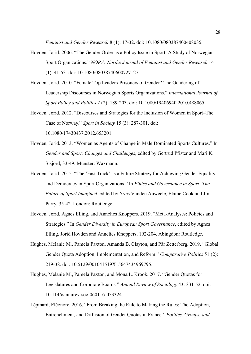Feminist and Gender Research 8 (1): 17-32. doi: 10.1080/080387400408035.

- Hovden, Jorid. 2006. "The Gender Order as a Policy Issue in Sport: A Study of Norwegian Sport Organizations." NORA: Nordic Journal of Feminist and Gender Research 14 (1): 41-53. doi: 10.1080/08038740600727127.
- Hovden, Jorid. 2010. "Female Top Leaders-Prisoners of Gender? The Gendering of Leadership Discourses in Norwegian Sports Organizations." International Journal of Sport Policy and Politics 2 (2): 189-203. doi: 10.1080/19406940.2010.488065.
- Hovden, Jorid. 2012. "Discourses and Strategies for the Inclusion of Women in Sport–The Case of Norway." Sport in Society 15 (3): 287-301. doi: 10.1080/17430437.2012.653201.
- Hovden, Jorid. 2013. "Women as Agents of Change in Male Dominated Sports Cultures." In Gender and Sport: Changes and Challenges, edited by Gertrud Pfister and Mari K. Sisjord, 33-49. Münster: Waxmann.
- Hovden, Jorid. 2015. "The 'Fast Track' as a Future Strategy for Achieving Gender Equality and Democracy in Sport Organizations." In Ethics and Governance in Sport: The Future of Sport Imagined, edited by Yves Vanden Auweele, Elaine Cook and Jim Parry, 35-42. London: Routledge.
- Hovden, Jorid, Agnes Elling, and Annelies Knoppers. 2019. "Meta-Analyses: Policies and Strategies." In Gender Diversity in European Sport Governance, edited by Agnes Elling, Jorid Hovden and Annelies Knoppers, 192-204. Abingdon: Routledge.
- Hughes, Melanie M., Pamela Paxton, Amanda B. Clayton, and Pär Zetterberg. 2019. "Global Gender Quota Adoption, Implementation, and Reform." Comparative Politics 51 (2): 219-38. doi: 10.5129/001041519X15647434969795.
- Hughes, Melanie M., Pamela Paxton, and Mona L. Krook. 2017. "Gender Quotas for Legislatures and Corporate Boards." Annual Review of Sociology 43: 331-52. doi: 10.1146/annurev-soc-060116-053324.
- Lépinard, Eléonore. 2016. "From Breaking the Rule to Making the Rules: The Adoption, Entrenchment, and Diffusion of Gender Quotas in France." Politics, Groups, and